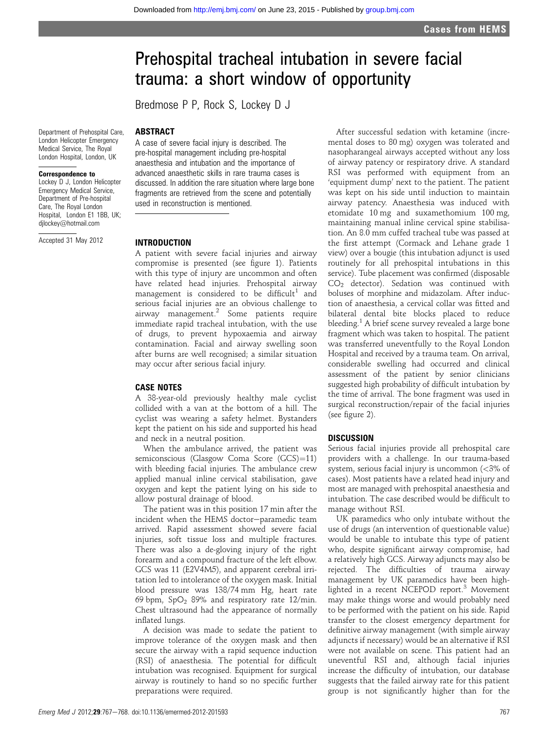# Prehospital tracheal intubation in severe facial trauma: a short window of opportunity

Bredmose P P, Rock S, Lockey D J

### ABSTRACT

Department of Prehospital Care, London Helicopter Emergency Medical Service, The Royal London Hospital, London, UK

#### Correspondence to

Lockey D J, London Helicopter Emergency Medical Service, Department of Pre-hospital Care, The Royal London Hospital, London F1 1BB, UK; djlockey@hotmail.com

Accepted 31 May 2012

A case of severe facial injury is described. The pre-hospital management including pre-hospital anaesthesia and intubation and the importance of advanced anaesthetic skills in rare trauma cases is discussed. In addition the rare situation where large bone fragments are retrieved from the scene and potentially used in reconstruction is mentioned.

#### INTRODUCTION

A patient with severe facial injuries and airway compromise is presented (see figure 1). Patients with this type of injury are uncommon and often have related head injuries. Prehospital airway management is considered to be difficult<sup>1</sup> and serious facial injuries are an obvious challenge to airway management.<sup>2</sup> Some patients require immediate rapid tracheal intubation, with the use of drugs, to prevent hypoxaemia and airway contamination. Facial and airway swelling soon after burns are well recognised; a similar situation may occur after serious facial injury.

#### CASE NOTES

A 38-year-old previously healthy male cyclist collided with a van at the bottom of a hill. The cyclist was wearing a safety helmet. Bystanders kept the patient on his side and supported his head and neck in a neutral position.

When the ambulance arrived, the patient was semiconscious (Glasgow Coma Score (GCS)=11) with bleeding facial injuries. The ambulance crew applied manual inline cervical stabilisation, gave oxygen and kept the patient lying on his side to allow postural drainage of blood.

The patient was in this position 17 min after the incident when the HEMS doctor-paramedic team arrived. Rapid assessment showed severe facial injuries, soft tissue loss and multiple fractures. There was also a de-gloving injury of the right forearm and a compound fracture of the left elbow. GCS was 11 (E2V4M5), and apparent cerebral irritation led to intolerance of the oxygen mask. Initial blood pressure was 138/74 mm Hg, heart rate 69 bpm,  $SpO<sub>2</sub>$  89% and respiratory rate 12/min. Chest ultrasound had the appearance of normally inflated lungs.

A decision was made to sedate the patient to improve tolerance of the oxygen mask and then secure the airway with a rapid sequence induction (RSI) of anaesthesia. The potential for difficult intubation was recognised. Equipment for surgical airway is routinely to hand so no specific further preparations were required.

After successful sedation with ketamine (incremental doses to 80 mg) oxygen was tolerated and nasopharangeal airways accepted without any loss of airway patency or respiratory drive. A standard RSI was performed with equipment from an 'equipment dump' next to the patient. The patient was kept on his side until induction to maintain airway patency. Anaesthesia was induced with etomidate 10 mg and suxamethomium 100 mg, maintaining manual inline cervical spine stabilisation. An 8.0 mm cuffed tracheal tube was passed at the first attempt (Cormack and Lehane grade 1 view) over a bougie (this intubation adjunct is used routinely for all prehospital intubations in this service). Tube placement was confirmed (disposable CO<sub>2</sub> detector). Sedation was continued with boluses of morphine and midazolam. After induction of anaesthesia, a cervical collar was fitted and bilateral dental bite blocks placed to reduce bleeding.<sup>1</sup> A brief scene survey revealed a large bone fragment which was taken to hospital. The patient was transferred uneventfully to the Royal London Hospital and received by a trauma team. On arrival, considerable swelling had occurred and clinical assessment of the patient by senior clinicians suggested high probability of difficult intubation by the time of arrival. The bone fragment was used in surgical reconstruction/repair of the facial injuries (see figure 2).

#### **DISCUSSION**

Serious facial injuries provide all prehospital care providers with a challenge. In our trauma-based system, serious facial injury is uncommon (<3% of cases). Most patients have a related head injury and most are managed with prehospital anaesthesia and intubation. The case described would be difficult to manage without RSI.

UK paramedics who only intubate without the use of drugs (an intervention of questionable value) would be unable to intubate this type of patient who, despite significant airway compromise, had a relatively high GCS. Airway adjuncts may also be rejected. The difficulties of trauma airway management by UK paramedics have been highlighted in a recent NCEPOD report.<sup>3</sup> Movement may make things worse and would probably need to be performed with the patient on his side. Rapid transfer to the closest emergency department for definitive airway management (with simple airway adjuncts if necessary) would be an alternative if RSI were not available on scene. This patient had an uneventful RSI and, although facial injuries increase the difficulty of intubation, our database suggests that the failed airway rate for this patient group is not significantly higher than for the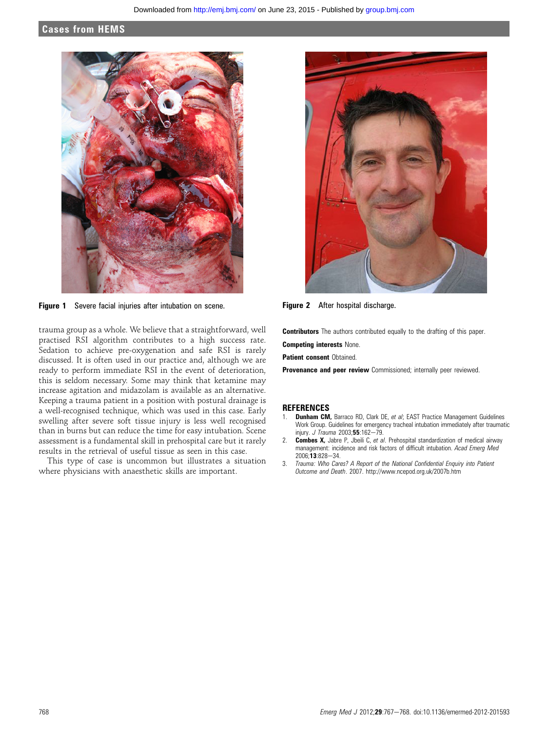## Cases from HEMS



Figure 1 Severe facial injuries after intubation on scene. Figure 2 After hospital discharge.

trauma group as a whole. We believe that a straightforward, well practised RSI algorithm contributes to a high success rate. Sedation to achieve pre-oxygenation and safe RSI is rarely discussed. It is often used in our practice and, although we are ready to perform immediate RSI in the event of deterioration, this is seldom necessary. Some may think that ketamine may increase agitation and midazolam is available as an alternative. Keeping a trauma patient in a position with postural drainage is a well-recognised technique, which was used in this case. Early swelling after severe soft tissue injury is less well recognised than in burns but can reduce the time for easy intubation. Scene assessment is a fundamental skill in prehospital care but it rarely results in the retrieval of useful tissue as seen in this case.

This type of case is uncommon but illustrates a situation where physicians with anaesthetic skills are important.



**Contributors** The authors contributed equally to the drafting of this paper.

Competing interests None.

**Patient consent Obtained.** 

Provenance and peer review Commissioned; internally peer reviewed.

#### **REFERENCES**

- 1. **Dunham CM,** Barraco RD, Clark DE, et al; EAST Practice Management Guidelines Work Group. Guidelines for emergency tracheal intubation immediately after traumatic injury. J Trauma 2003;55:162-79.
- 2. **Combes X,** Jabre P, Jbeili C, et al. Prehospital standardization of medical airway management: incidence and risk factors of difficult intubation. Acad Emerg Med 2006;13:828-34.
- 3. Trauma: Who Cares? A Report of the National Confidential Enquiry into Patient Outcome and Death. 2007. http://www.ncepod.org.uk/2007b.htm